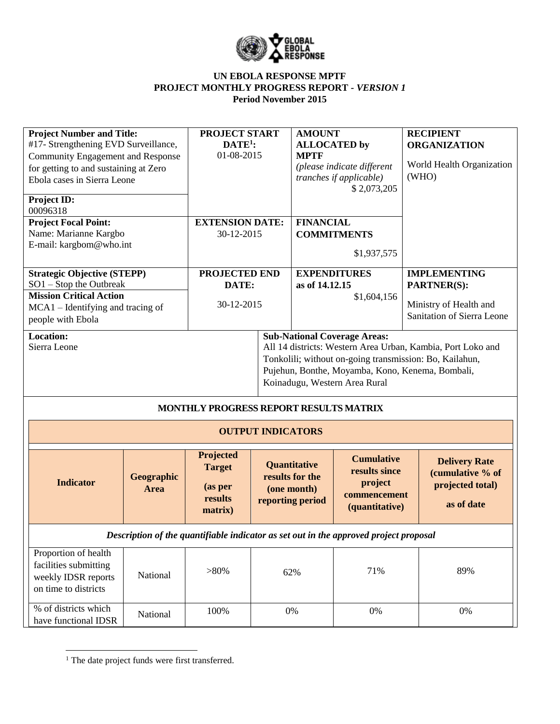

| <b>Project Number and Title:</b><br>#17- Strengthening EVD Surveillance,<br><b>Community Engagement and Response</b><br>for getting to and sustaining at Zero<br>Ebola cases in Sierra Leone<br>Project ID:<br>00096318 |                    | <b>PROJECT START</b><br>$\mathbf{DATE}^1$ :<br>01-08-2015   |                          | <b>AMOUNT</b><br><b>ALLOCATED</b> by<br><b>MPTF</b>                       | (please indicate different<br>tranches if applicable)<br>\$2,073,205                                                                                                                                                                               | <b>RECIPIENT</b><br><b>ORGANIZATION</b><br>(WHO) | World Health Organization                                                  |
|-------------------------------------------------------------------------------------------------------------------------------------------------------------------------------------------------------------------------|--------------------|-------------------------------------------------------------|--------------------------|---------------------------------------------------------------------------|----------------------------------------------------------------------------------------------------------------------------------------------------------------------------------------------------------------------------------------------------|--------------------------------------------------|----------------------------------------------------------------------------|
| <b>Project Focal Point:</b><br>Name: Marianne Kargbo<br>E-mail: kargbom@who.int                                                                                                                                         |                    | <b>EXTENSION DATE:</b><br>30-12-2015                        |                          | <b>FINANCIAL</b>                                                          | <b>COMMITMENTS</b><br>\$1,937,575                                                                                                                                                                                                                  |                                                  |                                                                            |
| <b>Strategic Objective (STEPP)</b><br>$SO1 - Stop$ the Outbreak                                                                                                                                                         |                    | PROJECTED END<br>DATE:                                      |                          | <b>EXPENDITURES</b><br>as of 14.12.15                                     |                                                                                                                                                                                                                                                    | <b>IMPLEMENTING</b><br><b>PARTNER(S):</b>        |                                                                            |
| <b>Mission Critical Action</b><br>MCA1 – Identifying and tracing of<br>people with Ebola                                                                                                                                |                    | 30-12-2015                                                  |                          |                                                                           | \$1,604,156                                                                                                                                                                                                                                        |                                                  | Ministry of Health and<br>Sanitation of Sierra Leone                       |
| <b>Location:</b><br>Sierra Leone                                                                                                                                                                                        |                    | MONTHLY PROGRESS REPORT RESULTS MATRIX                      |                          |                                                                           | <b>Sub-National Coverage Areas:</b><br>All 14 districts: Western Area Urban, Kambia, Port Loko and<br>Tonkolili; without on-going transmission: Bo, Kailahun,<br>Pujehun, Bonthe, Moyamba, Kono, Kenema, Bombali,<br>Koinadugu, Western Area Rural |                                                  |                                                                            |
|                                                                                                                                                                                                                         |                    |                                                             | <b>OUTPUT INDICATORS</b> |                                                                           |                                                                                                                                                                                                                                                    |                                                  |                                                                            |
| <b>Indicator</b>                                                                                                                                                                                                        | Geographic<br>Area | Projected<br><b>Target</b><br>(as per<br>results<br>matrix) |                          | <b>Quantitative</b><br>results for the<br>(one month)<br>reporting period | <b>Cumulative</b><br>results since<br>project<br>commencement<br>(quantitative)                                                                                                                                                                    |                                                  | <b>Delivery Rate</b><br>(cumulative % of<br>projected total)<br>as of date |
|                                                                                                                                                                                                                         |                    |                                                             |                          |                                                                           | Description of the quantifiable indicator as set out in the approved project proposal                                                                                                                                                              |                                                  |                                                                            |
| Proportion of health<br>facilities submitting<br>weekly IDSR reports<br>on time to districts                                                                                                                            | National           | $>80\%$                                                     |                          | 62%                                                                       | 71%                                                                                                                                                                                                                                                |                                                  | 89%                                                                        |
| % of districts which<br>have functional IDSR                                                                                                                                                                            | National           | 100%                                                        |                          | $0\%$                                                                     | 0%                                                                                                                                                                                                                                                 |                                                  | $0\%$                                                                      |

 $\overline{\phantom{a}}$ 

<sup>&</sup>lt;sup>1</sup> The date project funds were first transferred.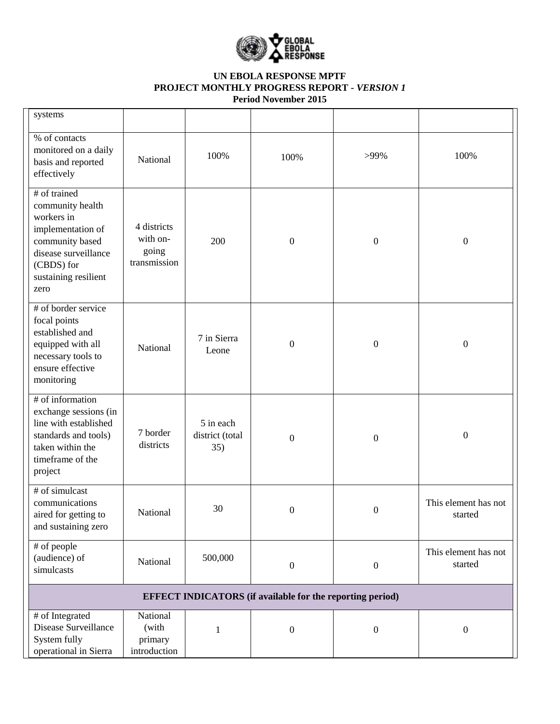

| systems                                                                                                                                                      |                                                  |                                     |                                                                  |                  |                                 |
|--------------------------------------------------------------------------------------------------------------------------------------------------------------|--------------------------------------------------|-------------------------------------|------------------------------------------------------------------|------------------|---------------------------------|
| % of contacts<br>monitored on a daily<br>basis and reported<br>effectively                                                                                   | National                                         | 100%                                | 100%                                                             | >99%             | 100%                            |
| # of trained<br>community health<br>workers in<br>implementation of<br>community based<br>disease surveillance<br>(CBDS) for<br>sustaining resilient<br>zero | 4 districts<br>with on-<br>going<br>transmission | 200                                 | $\boldsymbol{0}$                                                 | $\boldsymbol{0}$ | $\boldsymbol{0}$                |
| # of border service<br>focal points<br>established and<br>equipped with all<br>necessary tools to<br>ensure effective<br>monitoring                          | National                                         | 7 in Sierra<br>Leone                | $\boldsymbol{0}$                                                 | $\boldsymbol{0}$ | $\boldsymbol{0}$                |
| # of information<br>exchange sessions (in<br>line with established<br>standards and tools)<br>taken within the<br>timeframe of the<br>project                | 7 border<br>districts                            | 5 in each<br>district (total<br>35) | $\boldsymbol{0}$                                                 | $\boldsymbol{0}$ | $\boldsymbol{0}$                |
| # of simulcast<br>communications<br>aired for getting to<br>and sustaining zero                                                                              | National                                         | 30                                  | $\boldsymbol{0}$                                                 | $\boldsymbol{0}$ | This element has not<br>started |
| # of people<br>(audience) of<br>simulcasts                                                                                                                   | National                                         | 500,000                             | $\boldsymbol{0}$                                                 | $\boldsymbol{0}$ | This element has not<br>started |
|                                                                                                                                                              |                                                  |                                     | <b>EFFECT INDICATORS</b> (if available for the reporting period) |                  |                                 |
| # of Integrated<br>Disease Surveillance<br>System fully<br>operational in Sierra                                                                             | National<br>(with<br>primary<br>introduction     | $\mathbf{1}$                        | $\boldsymbol{0}$                                                 | $\boldsymbol{0}$ | $\boldsymbol{0}$                |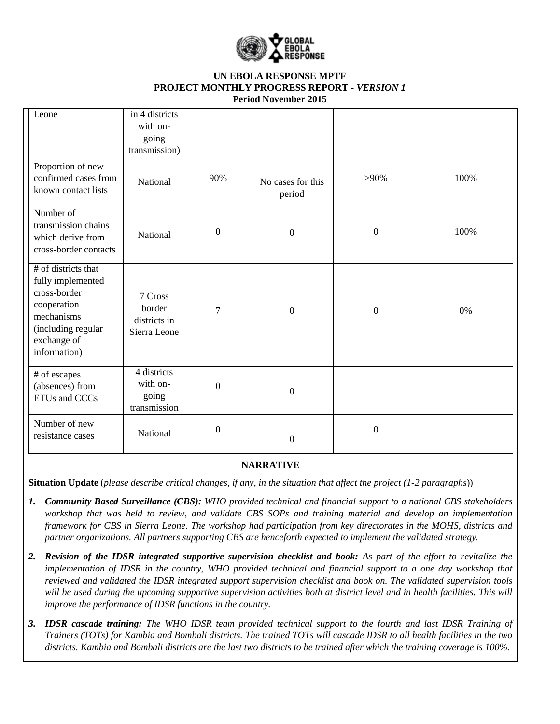

| Leone                                                                                                                                      | in 4 districts<br>with on-<br>going<br>transmission) |                  |                             |                  |      |
|--------------------------------------------------------------------------------------------------------------------------------------------|------------------------------------------------------|------------------|-----------------------------|------------------|------|
| Proportion of new<br>confirmed cases from<br>known contact lists                                                                           | National                                             | 90%              | No cases for this<br>period | $>90\%$          | 100% |
| Number of<br>transmission chains<br>which derive from<br>cross-border contacts                                                             | National                                             | $\boldsymbol{0}$ | $\boldsymbol{0}$            | $\boldsymbol{0}$ | 100% |
| # of districts that<br>fully implemented<br>cross-border<br>cooperation<br>mechanisms<br>(including regular<br>exchange of<br>information) | 7 Cross<br>border<br>districts in<br>Sierra Leone    | 7                | $\boldsymbol{0}$            | $\boldsymbol{0}$ | 0%   |
| # of escapes<br>(absences) from<br>ETUs and CCCs                                                                                           | 4 districts<br>with on-<br>going<br>transmission     | $\boldsymbol{0}$ | $\overline{0}$              |                  |      |
| Number of new<br>resistance cases                                                                                                          | National                                             | $\boldsymbol{0}$ | $\boldsymbol{0}$            | $\boldsymbol{0}$ |      |

### **NARRATIVE**

**Situation Update** (*please describe critical changes, if any, in the situation that affect the project (1-2 paragraphs*))

- *1. Community Based Surveillance (CBS): WHO provided technical and financial support to a national CBS stakeholders workshop that was held to review, and validate CBS SOPs and training material and develop an implementation framework for CBS in Sierra Leone. The workshop had participation from key directorates in the MOHS, districts and partner organizations. All partners supporting CBS are henceforth expected to implement the validated strategy.*
- *2. Revision of the IDSR integrated supportive supervision checklist and book: As part of the effort to revitalize the implementation of IDSR in the country, WHO provided technical and financial support to a one day workshop that reviewed and validated the IDSR integrated support supervision checklist and book on. The validated supervision tools will be used during the upcoming supportive supervision activities both at district level and in health facilities. This will improve the performance of IDSR functions in the country.*
- *3. IDSR cascade training: The WHO IDSR team provided technical support to the fourth and last IDSR Training of Trainers (TOTs) for Kambia and Bombali districts. The trained TOTs will cascade IDSR to all health facilities in the two districts. Kambia and Bombali districts are the last two districts to be trained after which the training coverage is 100%.*